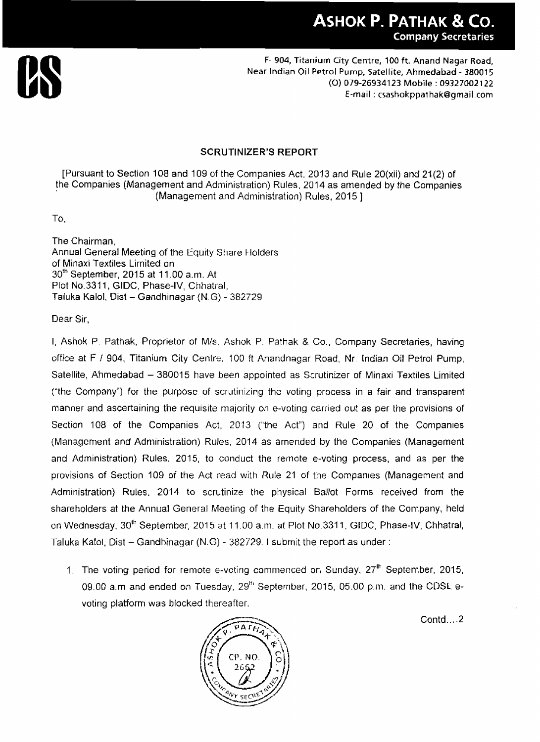

#### **SCRUTINIZER'S REPORT**

[Pursuant to Section 108 and 109 of the Companies Act, 2013 and Rule 20(xii) and **21**(2) of the Companies (Management and Administration) Rules, 201**4** as amended by the Companies (Management and Administration) Rules, 2015 ]

To.

The Chairman, Annual General Meeting of the Equity Share Holders of Minaxi Textiles Limited on  $30<sup>th</sup>$  September, 2015 at 11.00 a.m. At Plot **No.3311,**GIDC, Phase-IV, Chhatral, Taluka Kalol, Dist - Gandhinagar (N.G) - 382729

Dear Sir,

I, Ashok P. Pathak, Proprietor of Mls. Ashok P. Pathak & Co., Company Secretaries, having office at F 1 904, Titanium City Centre, 100 ft Anandnagar Road, Nr. Indian Oil Petrol Pump, Satellite, Ahmedabad - 380015 have been appointed as Scrutinizer of Minaxi Textiles Limited ("the Company") for the purpose of scrutinizing the voting process in a fair and transparent manner and ascertaining the requisite majority on e-voting carried out as per the provisions of Section 108 of the Companies Act, 2013 ("the Act") and Rule 20 of the Companies (Management and Administration) Rules, 2014 as amended by the Companies (Management and Administration) Rules, 2015, to conduct the rerriote e-voting process, and as per the provisions of Section 109 of the Act read with Rule 21 of the Companies (Management and Administration) Rules, 2014 to scrutinize the physical Ballot Forms received from the shareholders at the Annual General Meeting of the Equity Shareholders of **the** Company, held on Wednesday, 30<sup>th</sup> September, 2015 at 11.00 a.m. at Plot No.3311, GIDC, Phase-IV, Chhatral, Taluka Kalol, Dist - Gandhinagar (N.G) - 382729. I submit the report as under :

1. The voting period for remote e-voting commenced on Sunday,  $27<sup>th</sup>$  September, 2015, 09.00 a.m and ended on Tuesday, 29Ih September, 2015, 05.00 **p.m.** and the CDSL *e*voting platform was blocked thereafter.

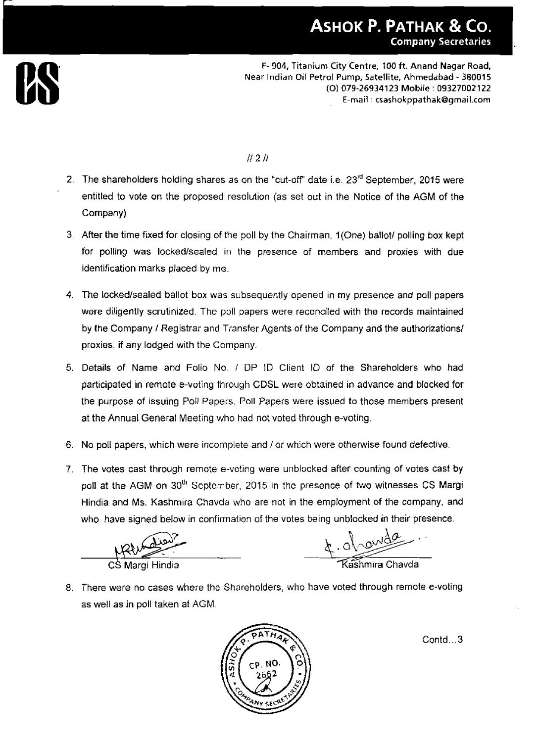

## $II 2II$

- 2. The shareholders holding shares as on the "cut-off" date i.e.  $23<sup>rd</sup>$  September, 2015 were entitled to vote on the proposed resolution (as set out in the Notice of the AGM of **the**  Company)
- 3. After the time fixed for closing of the poll by the Chairman, 1(One) ballot/ polling box kept for polling was locked/sealed in the presence of members and proxies with due identification marks placed by me.
- **4.** The **lockedlsealed** ballot box was subsequently opened in my presence and poll papers were diligently scrutinized. The poll papers were reconciled with the records maintained by the Company / Registrar and Transfer Agents of the Company and the authorizations/ proxies, if any lodged with the Company.
- 5. Details of Name **and** Folio No. I DP ID Client ID of the Shareholders who had participated in remote e-voting through CDSL were obtained in advance and blocked for the purpose of issuing Poll Papers. Poll Papers were issued **to** those members present at the Annual General Meeting who had not voted through e-voting.
- 6. No poll papers, which were incomplete and I or which were otherwise found defective.
- 7. The votes cast through remote e-voting were unblocked after counting of votes cast **by**  poll at the AGM on 30<sup>th</sup> September, 2015 in the presence of two witnesses CS Margi Hindia and Ms. Kashmira Chavda who are not in the employment of the company, and who have signed below in confirmation of the votes being unblocked in their presence.

CS Margi Hindia

4. Ol avrila

8. There were no cases where the Shareholders, who have voted through remote e-voting as well as in poll taken at AGM.

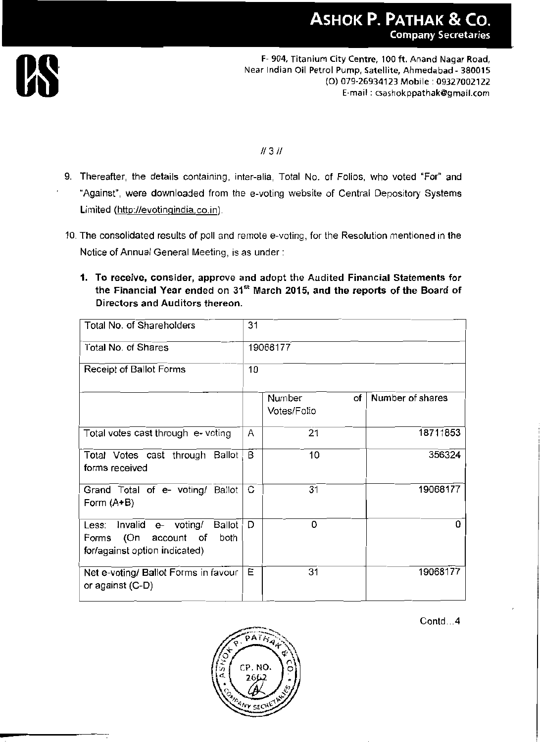

#### $H3H$

- 9. Thereafter, the details containing, inter-alia, Total No. of Folios, who voted "For" and "Against", were downloaded from the e-voting website of Central Depository Systems Limited (http://evotingindia.co.in).
- 10. The consolidated results of poll and remote e-voting, for the Resolution mentioned in the Notice of Annual General Meeting, is as under:
	- 1. To receive, consider, approve and adopt the Audited Financial Statements for the Financial Year ended on 31<sup>st</sup> March 2015, and the reports of the Board of Directors and Auditors thereon.

| Total No. of Shareholders                                                                                 | 31       |                                    |                  |
|-----------------------------------------------------------------------------------------------------------|----------|------------------------------------|------------------|
| Total No. of Shares                                                                                       | 19068177 |                                    |                  |
| Receipt of Ballot Forms                                                                                   | 10       |                                    |                  |
|                                                                                                           |          | <b>Number</b><br>оf<br>Votes/Folio | Number of shares |
| Total votes cast through e- voting                                                                        | Α        | 21                                 | 18711853         |
| Total Votes cast through Ballot<br>forms received                                                         | B        | 10                                 | 356324           |
| Grand Total of e- voting/ Ballot<br>Form $(A+B)$                                                          | С        | 31                                 | 19068177         |
| Less: Invalid<br>e- voting/<br>Ballot<br>Forms (On<br>account of<br>both<br>for/against option indicated) | Đ        | 0                                  | n                |
| Net e-voting/ Ballot Forms in favour<br>or against (C-D)                                                  | Ε        | 31                                 | 19068177         |

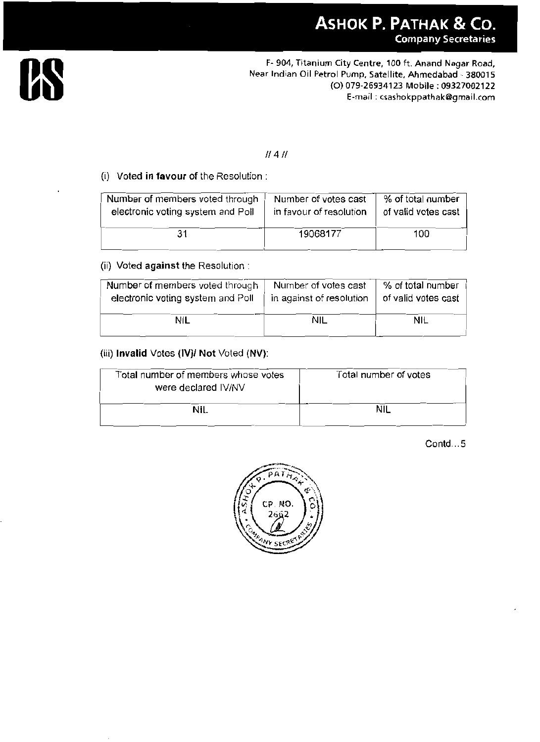# $||4||$

#### (i) Voted in favour of the Resolution :

| Number of members voted through   | Number of votes cast    | % of total number   |
|-----------------------------------|-------------------------|---------------------|
| electronic voting system and Poll | in favour of resolution | of valid votes cast |
| 31                                | 19068177                | 100                 |

## (ii) Voted against the Resolution:

| Number of members voted through   | Number of votes cast     | % of total number   |
|-----------------------------------|--------------------------|---------------------|
| electronic voting system and Poll | in against of resolution | of valid votes cast |
| NIL                               | <b>NIL</b>               | <b>NIL</b>          |

#### (iii) Invalid Votes (IV)/ Not Voted (NV):

| Total number of members whose votes<br>were declared IV/NV | Total number of votes |  |
|------------------------------------------------------------|-----------------------|--|
| Nil                                                        |                       |  |

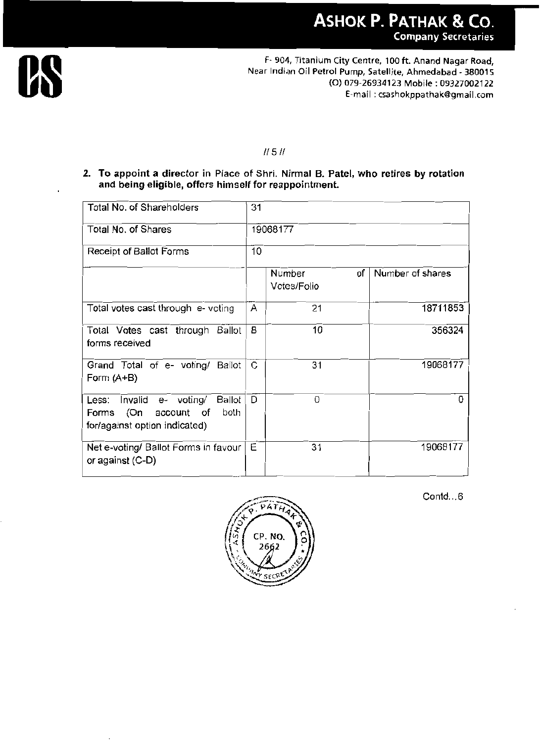

#### $11511$

2. To appoint a director in Place of Shri. Nirmal B. Patel, who retires by rotation and being eligible, offers himself for reappointment.

| Total No. of Shareholders                                                                              | 31       |                             |                  |
|--------------------------------------------------------------------------------------------------------|----------|-----------------------------|------------------|
| Total No. of Shares                                                                                    | 19068177 |                             |                  |
| Receipt of Ballot Forms                                                                                | 10       |                             |                  |
|                                                                                                        |          | Number<br>οf<br>Votes/Folio | Number of shares |
| Total votes cast through e- voting                                                                     | Α        | 21                          | 18711853         |
| Total Votes cast through Ballot<br>forms received                                                      | В        | 10                          | 356324           |
| Grand Total of e- voting/ Ballot<br>Form $(A+B)$                                                       | C        | 31                          | 19068177         |
| Less: Invalid e- voting/<br>Ballot<br>Forms (On<br>account of<br>both<br>for/against option indicated) | D        | 0                           | 0                |
| Net e-voting/ Ballot Forms in favour<br>or against (C-D)                                               | E        | 31                          | 19068177         |

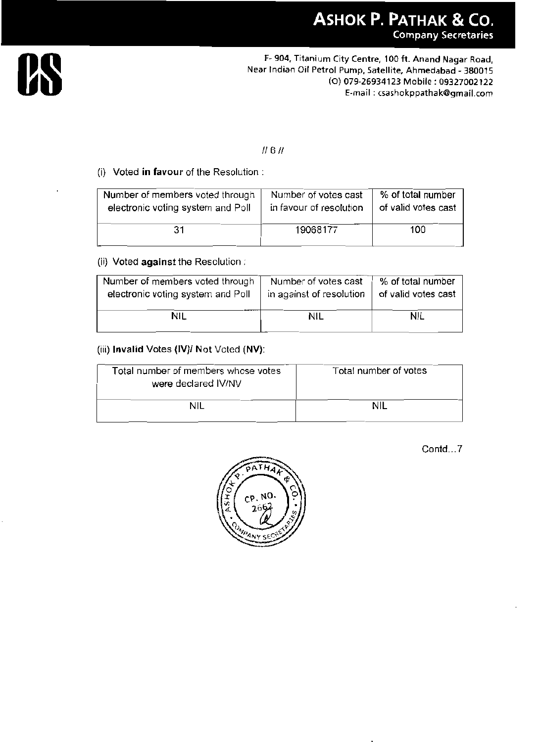

### $11611$

#### (i) Voted in favour of the Resolution :

| Number of members voted through   | Number of votes cast    | % of total number   |
|-----------------------------------|-------------------------|---------------------|
| electronic voting system and Poll | in favour of resolution | of valid votes cast |
| 31                                | 19068177                | 100                 |

#### (ii) Voted against the Resolution :

| Number of members voted through   | Number of votes cast     | % of total number   |
|-----------------------------------|--------------------------|---------------------|
| electronic voting system and Poll | in against of resolution | of valid votes cast |
| Nil                               | NIL                      | <b>NIL</b>          |

#### (iii) Invalid Votes (IV)/ Not Voted (NV):

| Total number of members whose votes<br>were declared IV/NV | Total number of votes |
|------------------------------------------------------------|-----------------------|
| nil                                                        | NII                   |

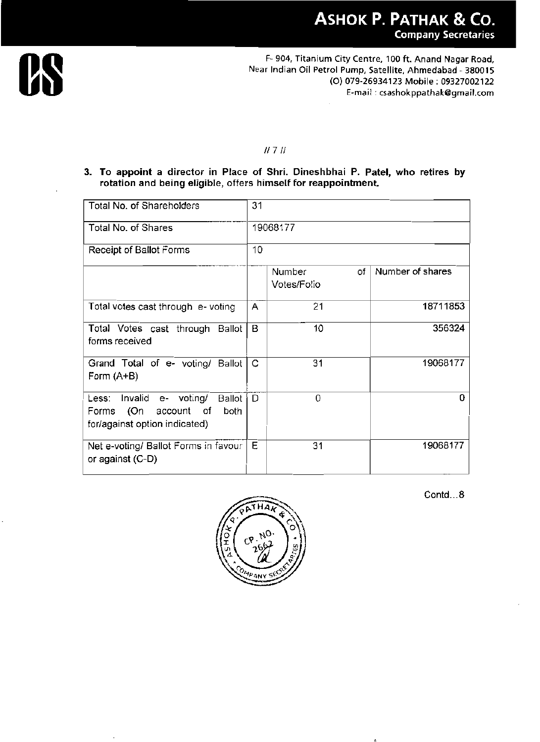

#### $II 7 II$

3. To appoint a director in Place of Shri. Dineshbhai P. Patel, who retires by rotation and being eligible, offers himself for reappointment.

| Total No. of Shareholders                                                                                       | 31 |                             |                  |
|-----------------------------------------------------------------------------------------------------------------|----|-----------------------------|------------------|
| Total No. of Shares                                                                                             |    | 19068177                    |                  |
| Receipt of Ballot Forms                                                                                         | 10 |                             |                  |
|                                                                                                                 |    | Number<br>οf<br>Votes/Folio | Number of shares |
| Total votes cast through e- voting                                                                              | A  | 21                          | 18711853         |
| Total Votes cast through<br>Ballot<br>forms received                                                            | В  | 10                          | 356324           |
| Grand Total of e- voting/ Ballot<br>Form $(A+B)$                                                                | С  | 31                          | 19068177         |
| Invalid<br>e- voting/<br>Ballot<br>Less:<br>(On<br>account of<br>both<br>Forms<br>for/against option indicated) | D  | 0                           | 0                |
| Net e-voting/ Ballot Forms in favour<br>or against (C-D)                                                        | Е  | 31                          | 19068177         |

THA 4NY

Contd...8

 $\lambda$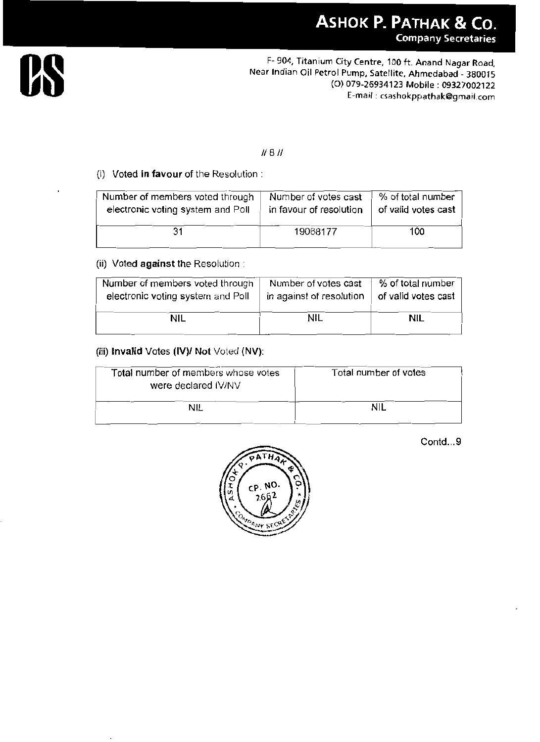

# $11811$

#### (i) Voted in favour of the Resolution :

| Number of members voted through   | Number of votes cast    | % of total number   |
|-----------------------------------|-------------------------|---------------------|
| electronic voting system and Poll | in favour of resolution | of valid votes cast |
| 31                                | 19068177                | 100                 |

#### (ii) Voted against the Resolution:

| Number of members voted through   | Number of votes cast     | % of total number   |
|-----------------------------------|--------------------------|---------------------|
| electronic voting system and Poll | in against of resolution | of valid votes cast |
| NIL                               | NIL                      | nil                 |

#### (iii) Invalid Votes (IV)/ Not Voted (NV):

| Total number of members whose votes<br>were declared IV/NV | Total number of votes |  |
|------------------------------------------------------------|-----------------------|--|
| nii                                                        |                       |  |

Contd...9

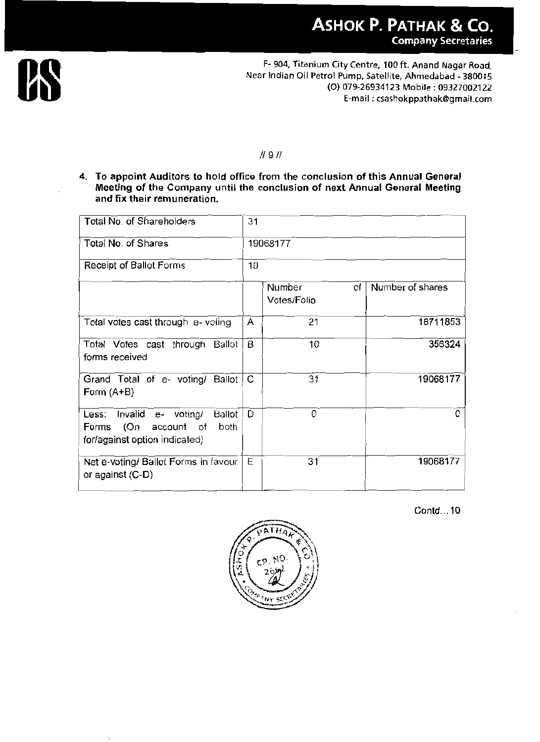

#### $11911$

4. To appoint Auditors to hold office from the conclusion of this Annual General Meeting of the Company until the conclusion of next Annual General Meeting and fix their remuneration.

| Total No. of Shareholders                                                                                 | 31       |                             |                  |
|-----------------------------------------------------------------------------------------------------------|----------|-----------------------------|------------------|
| Total No. of Shares                                                                                       | 19068177 |                             |                  |
| Receipt of Ballot Forms                                                                                   | 10       |                             |                  |
|                                                                                                           |          | Number<br>of<br>Votes/Folio | Number of shares |
| Total votes cast through e-voting                                                                         | A        | 21                          | 18711853         |
| Total Votes cast through Ballot<br>forms received                                                         | B        | 10                          | 356324           |
| Grand Total of e- voting/ Ballot<br>Form $(A+B)$                                                          | C        | 31                          | 19068177         |
| Less: Invalid e- voting/<br>Ballot<br>(On<br>account of<br>both<br>Forms<br>for/against option indicated) | D        | 0                           | o                |
| Net e-voting/ Ballot Forms in favour<br>or against (C-D)                                                  | Е        | 31                          | 19068177         |

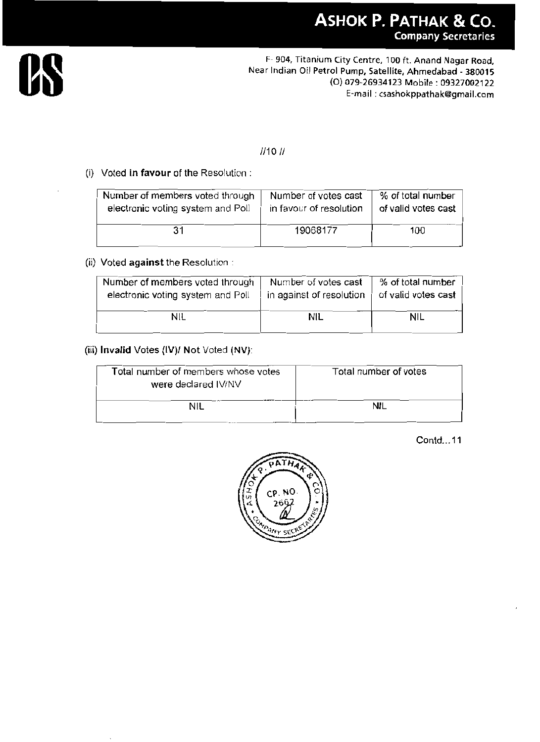

### $1/101/$

#### (i) Voted in favour of the Resolution :

| Number of members voted through   | Number of votes cast    | % of total number   |
|-----------------------------------|-------------------------|---------------------|
| electronic voting system and Poll | in favour of resolution | of valid votes cast |
| 31                                | 19068177                | 100                 |

#### (ii) Voted against the Resolution :

| Number of members voted through<br>electronic voting system and Poll | Number of votes cast<br>in against of resolution | % of total number<br>of valid votes cast |
|----------------------------------------------------------------------|--------------------------------------------------|------------------------------------------|
| NIL                                                                  | <b>NIL</b>                                       | NIL                                      |

#### (iii) Invalid Votes (IV)/ Not Voted (NV):

| Total number of members whose votes<br>were declared IV/NV | Total number of votes |
|------------------------------------------------------------|-----------------------|
| NIL                                                        |                       |

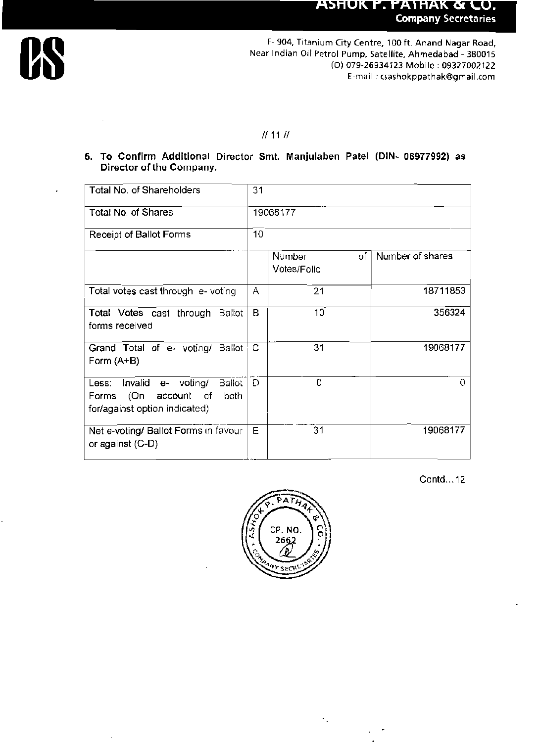#### **ASHUK P. PATHAK & CO. Company Secretaries**



F- 904, Titanium City Centre, 100 ft. Anand Nagar Road, Near Indian Oil Petrol Pump, Satellite, Ahmedabad - 380015 (O) 079-26934123 Mobile: 09327002122 E-mail: csashokppathak@gmail.com

#### $11111$

5. To Confirm Additional Director Smt. Manjulaben Patel (DIN- 06977992) as Director of the Company.

| Total No. of Shareholders                                                                              | 31       |                             |                  |
|--------------------------------------------------------------------------------------------------------|----------|-----------------------------|------------------|
| <b>Total No. of Shares</b>                                                                             | 19068177 |                             |                  |
| Receipt of Ballot Forms                                                                                | 10       |                             |                  |
|                                                                                                        |          | Number<br>of<br>Votes/Folio | Number of shares |
| Total votes cast through e-voting                                                                      | A        | 21                          | 18711853         |
| Total Votes cast through Ballot<br>forms received                                                      | в        | 10                          | 356324           |
| Grand Total of e- voting/ Ballot<br>Form $(A+B)$                                                       | С        | 31                          | 19068177         |
| Less: Invalid e- voting/<br>Bailot<br>Forms (On<br>account of<br>both<br>for/against option indicated) | Ð        | 0                           | 0                |
| Net e-voting/ Ballot Forms in favour<br>or against (C-D)                                               | E        | 31                          | 19068177         |

Contd...12



 $\epsilon_{\rm{B}}$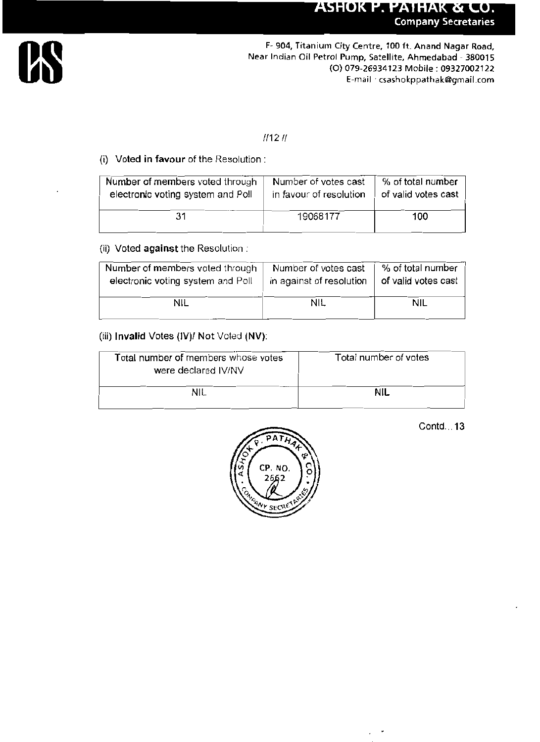# **ASHOK P. PATHAK & CO. Company Secretaries**



### $111211$

#### (i) Voted in favour of the Resolution :

| Number of members voted through   | Number of votes cast    | % of total number   |
|-----------------------------------|-------------------------|---------------------|
| electronic voting system and Poll | in favour of resolution | of valid votes cast |
| 31                                | 19068177                | 100                 |

#### (ii) Voted against the Resolution:

| Number of members voted through   | Number of votes cast     | % of total number   |
|-----------------------------------|--------------------------|---------------------|
| electronic voting system and Poll | in against of resolution | of valid votes cast |
| NIL                               | <b>NIL</b>               | <b>NIL</b>          |

#### (iii) Invalid Votes (IV)/ Not Voted (NV):

| Total number of members whose votes<br>were declared IV/NV | Total number of votes |  |
|------------------------------------------------------------|-----------------------|--|
| NIL                                                        | nil                   |  |



Contd...13

÷,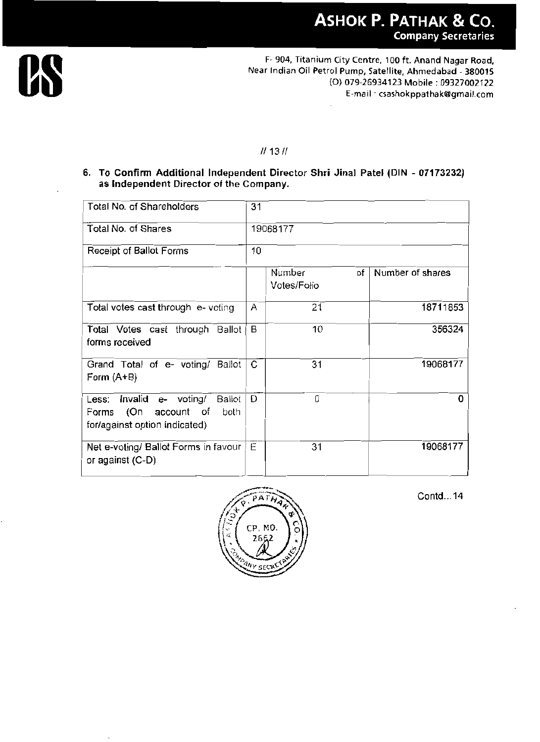

# $111311$

6. To Confirm Additional Independent Director Shri Jinal Patel (DIN - 07173232) as Independent Director of the Company.

| Total No. of Shareholders                                                                              | 31 |                             |                  |
|--------------------------------------------------------------------------------------------------------|----|-----------------------------|------------------|
| Total No. of Shares                                                                                    |    | 19068177                    |                  |
| Receipt of Ballot Forms                                                                                | 10 |                             |                  |
|                                                                                                        |    | Number<br>оf<br>Votes/Folio | Number of shares |
| Total votes cast through e- voting                                                                     | Α  | 21                          | 18711853         |
| Total Votes cast through Ballot<br>forms received                                                      | В  | 10                          | 356324           |
| Grand Total of e- voting/ Ballot<br>Form $(A+B)$                                                       | C  | 31                          | 19068177         |
| Less: Invalid e- voting/<br>Ballot<br>Forms (On<br>account of<br>both<br>for/against option indicated) | Ð  | 0                           |                  |
| Net e-voting/ Ballot Forms in favour<br>or against (C-D)                                               | E  | 31                          | 19068177         |

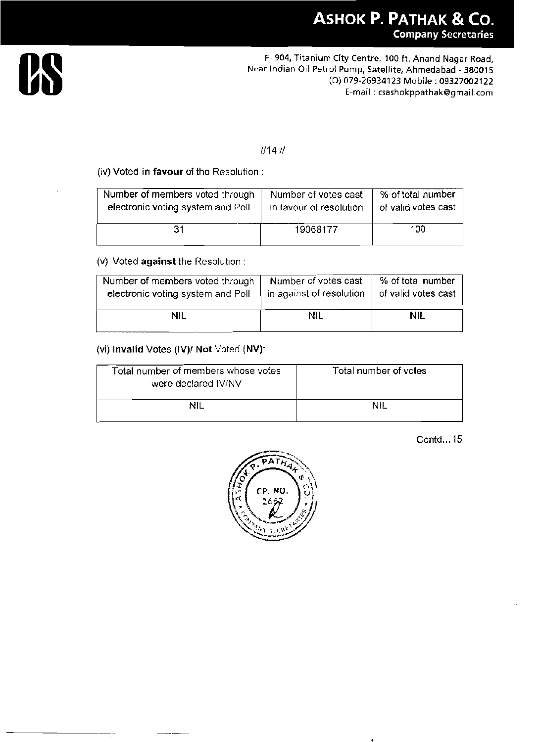

#### $1/141/$

(iv) Voted in favour of the Resolution:

| Number of members voted through   | Number of votes cast    | % of total number   |
|-----------------------------------|-------------------------|---------------------|
| electronic voting system and Poll | in favour of resolution | of valid votes cast |
| 31                                | 19068177                | 100                 |

#### (v) Voted against the Resolution:

| Number of members voted through   | Number of votes cast     | % of total number   |
|-----------------------------------|--------------------------|---------------------|
| electronic voting system and Poll | in against of resolution | of valid votes cast |
| NIL                               | nil                      | NIL                 |

#### (vi) Invalid Votes (IV)/ Not Voted (NV):

| Total number of members whose votes<br>were declared IV/NV | Total number of votes |
|------------------------------------------------------------|-----------------------|
| NIL                                                        | ΝIΙ                   |

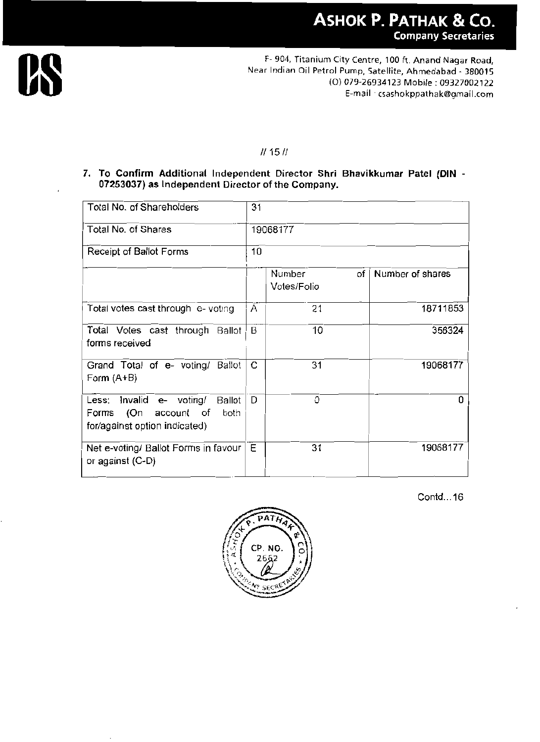

## $11 1511$

7. To Confirm Additional Independent Director Shri Bhavikkumar Patel (DIN -07253037) as Independent Director of the Company.

| Total No. of Shareholders                                                                                 | 31       |                                    |                  |
|-----------------------------------------------------------------------------------------------------------|----------|------------------------------------|------------------|
| Total No. of Shares                                                                                       | 19068177 |                                    |                  |
| Receipt of Ballot Forms                                                                                   | 10       |                                    |                  |
|                                                                                                           |          | <b>Number</b><br>of<br>Votes/Folio | Number of shares |
| Total votes cast through e- voting                                                                        | A        | 21                                 | 18711853         |
| Total Votes cast through<br>Ballot<br>forms received                                                      | B        | 10                                 | 356324           |
| Grand Total of e- voting/<br>Ballot<br>Form $(A+B)$                                                       | C        | 31                                 | 19068177         |
| Less: Invalid e- voting/<br>Ballot<br>(On<br>account of<br>both<br>Forms<br>for/against option indicated) | D        | 0                                  |                  |
| Net e-voting/ Ballot Forms in favour<br>or against (C-D)                                                  | E        | 31                                 | 19068177         |

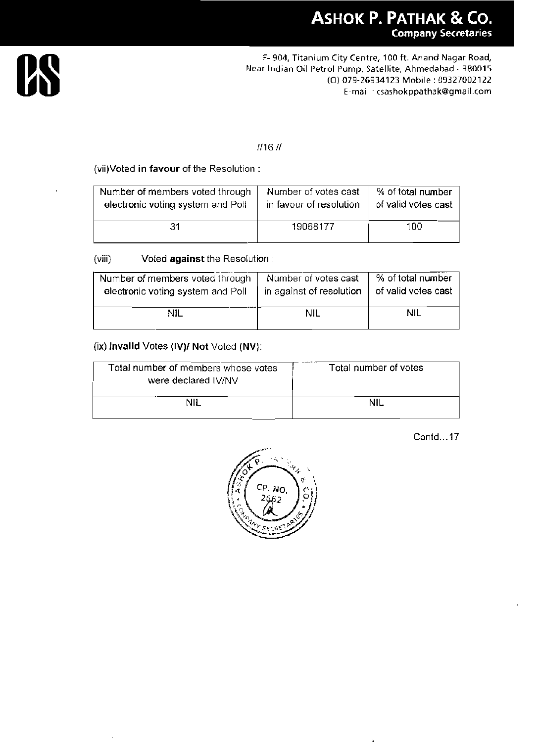

#### $1/161/$

(vii) Voted in favour of the Resolution:

| Number of members voted through   | Number of votes cast    | % of total number   |
|-----------------------------------|-------------------------|---------------------|
| electronic voting system and Poll | in favour of resolution | of valid votes cast |
| 31                                | 19068177                | 100                 |

(viii) Voted against the Resolution:

| Number of members voted through   | Number of votes cast     | % of total number   |
|-----------------------------------|--------------------------|---------------------|
| electronic voting system and Poll | in against of resolution | of valid votes cast |
| NIL                               | nil                      | nil                 |

#### (ix) Invalid Votes (IV)/ Not Voted (NV):

| Total number of members whose votes<br>were declared IV/NV | Total number of votes |
|------------------------------------------------------------|-----------------------|
| NII                                                        | NIL.                  |

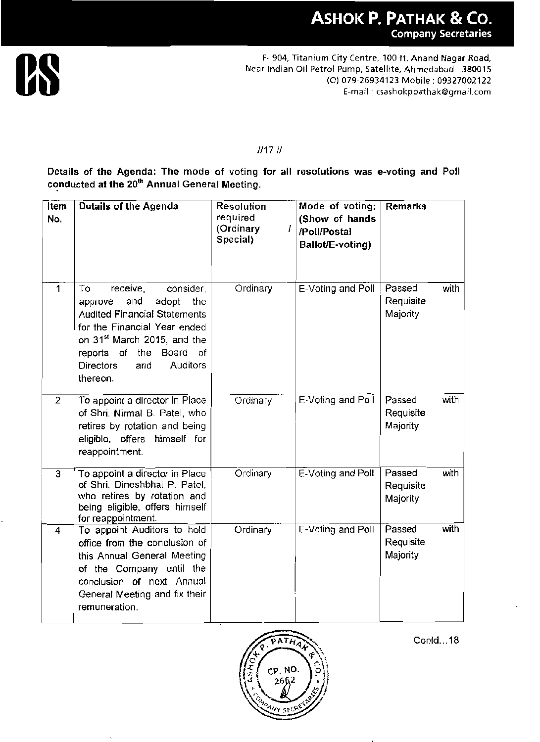

#### $111711$

Details of the Agenda: The mode of voting for all resolutions was e-voting and Poll conducted at the 20<sup>th</sup> Annual General Meeting.

| Item<br>No.    | Details of the Agenda                                                                                                                                                                                                                                            | <b>Resolution</b><br>required<br>(Ordinary<br>Ι<br>Special) | Mode of voting:<br>(Show of hands<br>/Poll/Postal<br>Ballot/E-voting) | <b>Remarks</b>                          |
|----------------|------------------------------------------------------------------------------------------------------------------------------------------------------------------------------------------------------------------------------------------------------------------|-------------------------------------------------------------|-----------------------------------------------------------------------|-----------------------------------------|
| 1              | consider,<br>To<br>receive,<br>and<br>adopt<br>the<br>approve<br><b>Audited Financial Statements</b><br>for the Financial Year ended<br>on 31 <sup>st</sup> March 2015, and the<br>reports of the<br>Board of<br><b>Directors</b><br>Auditors<br>and<br>thereon. | Ordinary                                                    | E-Voting and Poll                                                     | Passed<br>with<br>Requisite<br>Majority |
| $\mathbf{2}$   | To appoint a director in Place<br>of Shri. Nirmal B. Patel, who<br>retires by rotation and being<br>eligible, offers himself for<br>reappointment.                                                                                                               | Ordinary                                                    | E-Voting and Poll                                                     | Passed<br>with<br>Requisite<br>Majority |
| $\overline{3}$ | To appoint a director in Place<br>of Shri. Dineshbhai P. Patel,<br>who retires by rotation and<br>being eligible, offers himself<br>for reappointment.                                                                                                           | Ordinary                                                    | E-Voting and Poll                                                     | with<br>Passed<br>Requisite<br>Majority |
| 4              | To appoint Auditors to hold<br>office from the conclusion of<br>this Annual General Meeting<br>of the Company until the<br>conclusion of next Annual<br>General Meeting and fix their<br>remuneration.                                                           | Ordinary                                                    | E-Voting and Poll                                                     | with<br>Passed<br>Requisite<br>Majority |